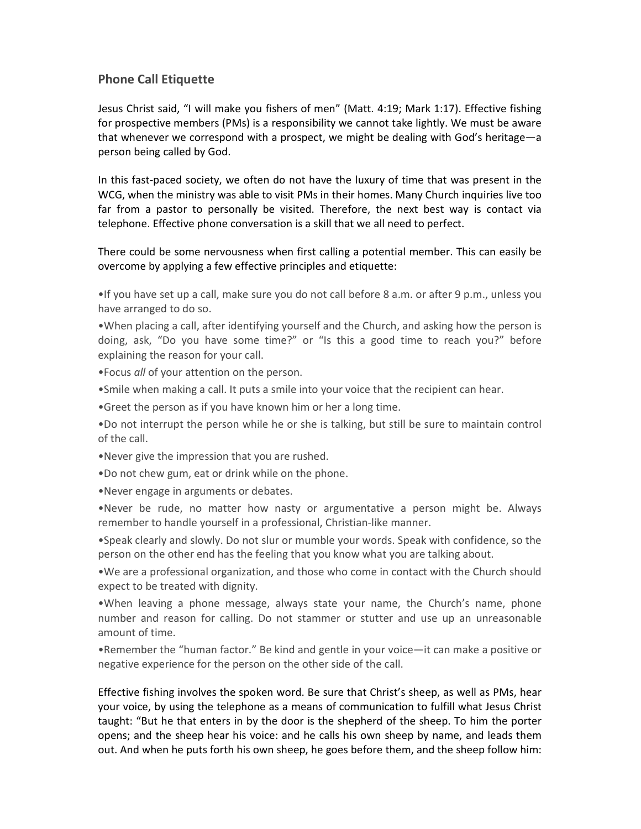## Phone Call Etiquette

Jesus Christ said, "I will make you fishers of men" (Matt. 4:19; Mark 1:17). Effective fishing for prospective members (PMs) is a responsibility we cannot take lightly. We must be aware that whenever we correspond with a prospect, we might be dealing with God's heritage—a person being called by God.

In this fast-paced society, we often do not have the luxury of time that was present in the WCG, when the ministry was able to visit PMs in their homes. Many Church inquiries live too far from a pastor to personally be visited. Therefore, the next best way is contact via telephone. Effective phone conversation is a skill that we all need to perfect.

There could be some nervousness when first calling a potential member. This can easily be overcome by applying a few effective principles and etiquette:

•If you have set up a call, make sure you do not call before 8 a.m. or after 9 p.m., unless you have arranged to do so.

•When placing a call, after identifying yourself and the Church, and asking how the person is doing, ask, "Do you have some time?" or "Is this a good time to reach you?" before explaining the reason for your call.

•Focus all of your attention on the person.

•Smile when making a call. It puts a smile into your voice that the recipient can hear.

•Greet the person as if you have known him or her a long time.

•Do not interrupt the person while he or she is talking, but still be sure to maintain control of the call.

•Never give the impression that you are rushed.

•Do not chew gum, eat or drink while on the phone.

•Never engage in arguments or debates.

•Never be rude, no matter how nasty or argumentative a person might be. Always remember to handle yourself in a professional, Christian-like manner.

•Speak clearly and slowly. Do not slur or mumble your words. Speak with confidence, so the person on the other end has the feeling that you know what you are talking about.

•We are a professional organization, and those who come in contact with the Church should expect to be treated with dignity.

•When leaving a phone message, always state your name, the Church's name, phone number and reason for calling. Do not stammer or stutter and use up an unreasonable amount of time.

•Remember the "human factor." Be kind and gentle in your voice—it can make a positive or negative experience for the person on the other side of the call.

Effective fishing involves the spoken word. Be sure that Christ's sheep, as well as PMs, hear your voice, by using the telephone as a means of communication to fulfill what Jesus Christ taught: "But he that enters in by the door is the shepherd of the sheep. To him the porter opens; and the sheep hear his voice: and he calls his own sheep by name, and leads them out. And when he puts forth his own sheep, he goes before them, and the sheep follow him: